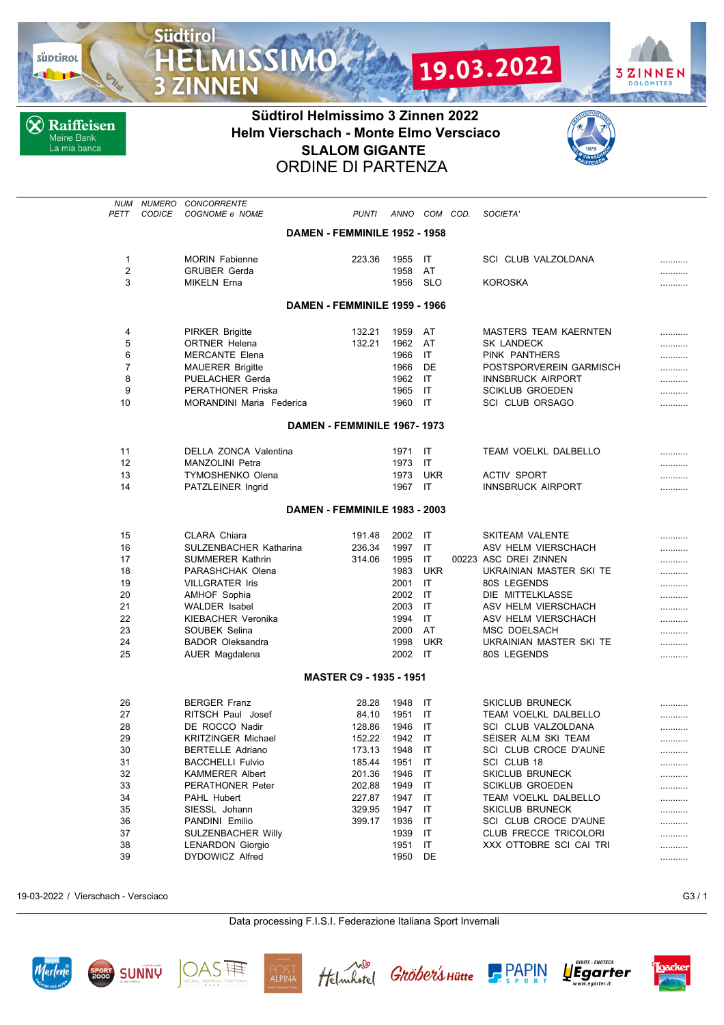

**X** Raiffeisen Meine Bank<br>La mia banca

**Südtirol** 

**3 ZINNEN** 

**MISSIMO** 



## **Südtirol Helmissimo 3 Zinnen 2022 Helm Vierschach - Monte Elmo Versciaco SLALOM GIGANTE** ORDINE DI PARTENZA



| NUM<br>PETT    | NUMERO<br><b>CODICE</b> | <b>CONCORRENTE</b><br>COGNOME e NOME |                                | <b>PUNTI</b> | ANNO | COM COD.         | SOCIETA'                                       |   |
|----------------|-------------------------|--------------------------------------|--------------------------------|--------------|------|------------------|------------------------------------------------|---|
|                |                         |                                      | DAMEN - FEMMINILE 1952 - 1958  |              |      |                  |                                                |   |
|                |                         |                                      |                                |              |      |                  |                                                |   |
| 1              |                         | <b>MORIN Fabienne</b>                |                                | 223.36       | 1955 | IT               | <b>SCI CLUB VALZOLDANA</b>                     | . |
| $\overline{2}$ |                         | <b>GRUBER Gerda</b>                  |                                |              | 1958 | AT               |                                                |   |
| 3              |                         | <b>MIKELN Erna</b>                   |                                |              | 1956 | <b>SLO</b>       | <b>KOROSKA</b>                                 |   |
|                |                         |                                      | DAMEN - FEMMINILE 1959 - 1966  |              |      |                  |                                                |   |
| 4              |                         | <b>PIRKER Brigitte</b>               |                                | 132.21       | 1959 | AT               | <b>MASTERS TEAM KAERNTEN</b>                   |   |
| 5              |                         | <b>ORTNER Helena</b>                 |                                | 132.21       | 1962 | AT               | <b>SK LANDECK</b>                              | . |
| 6              |                         | <b>MERCANTE Elena</b>                |                                |              | 1966 | ΙT               | PINK PANTHERS                                  |   |
| 7              |                         | <b>MAUERER Brigitte</b>              |                                |              | 1966 | DE               | POSTSPORVEREIN GARMISCH                        |   |
| 8              |                         | PUELACHER Gerda                      |                                |              | 1962 | IT               | <b>INNSBRUCK AIRPORT</b>                       | . |
| 9              |                         | <b>PERATHONER Priska</b>             |                                |              | 1965 | IT               | <b>SCIKLUB GROEDEN</b>                         |   |
| 10             |                         | MORANDINI Maria Federica             |                                |              | 1960 | IT               | <b>SCI CLUB ORSAGO</b>                         |   |
|                |                         |                                      | DAMEN - FEMMINILE 1967-1973    |              |      |                  |                                                |   |
|                |                         |                                      |                                |              |      |                  |                                                |   |
| 11             |                         | DELLA ZONCA Valentina                |                                |              | 1971 | IT               | TEAM VOELKL DALBELLO                           | . |
| 12             |                         | <b>MANZOLINI Petra</b>               |                                |              | 1973 | IT               |                                                |   |
| 13             |                         | <b>TYMOSHENKO Olena</b>              |                                |              | 1973 | <b>UKR</b><br>IT | <b>ACTIV SPORT</b><br><b>INNSBRUCK AIRPORT</b> | . |
| 14             |                         | PATZLEINER Ingrid                    |                                |              | 1967 |                  |                                                | . |
|                |                         |                                      | DAMEN - FEMMINILE 1983 - 2003  |              |      |                  |                                                |   |
| 15             |                         | CLARA Chiara                         |                                | 191.48       | 2002 | IT               | <b>SKITEAM VALENTE</b>                         |   |
| 16             |                         | SULZENBACHER Katharina               |                                | 236.34       | 1997 | IT               | ASV HELM VIERSCHACH                            |   |
| 17             |                         | <b>SUMMERER Kathrin</b>              |                                | 314.06       | 1995 | IT               | 00223 ASC DREI ZINNEN                          |   |
| 18             |                         | PARASHCHAK Olena                     |                                |              | 1983 | <b>UKR</b>       | UKRAINIAN MASTER SKI TE                        |   |
| 19             |                         | <b>VILLGRATER Iris</b>               |                                |              | 2001 | IT               | 80S LEGENDS                                    |   |
| 20             |                         | <b>AMHOF Sophia</b>                  |                                |              | 2002 | IT               | DIE MITTELKLASSE                               |   |
| 21             |                         | <b>WALDER</b> Isabel                 |                                |              | 2003 | IT               | ASV HELM VIERSCHACH                            |   |
| 22             |                         | KIEBACHER Veronika                   |                                |              | 1994 | IT               | ASV HELM VIERSCHACH                            |   |
| 23             |                         | SOUBEK Selina                        |                                |              | 2000 | AT               | MSC DOELSACH                                   | . |
| 24             |                         | <b>BADOR Oleksandra</b>              |                                |              | 1998 | <b>UKR</b>       | UKRAINIAN MASTER SKI TE                        |   |
| 25             |                         | AUER Magdalena                       |                                |              | 2002 | IT               | 80S LEGENDS                                    | . |
|                |                         |                                      | <b>MASTER C9 - 1935 - 1951</b> |              |      |                  |                                                |   |
| 26             |                         | <b>BERGER Franz</b>                  |                                | 28.28        | 1948 | IT               | <b>SKICLUB BRUNECK</b>                         |   |
| 27             |                         | RITSCH Paul Josef                    |                                | 84.10        | 1951 | IT               | TEAM VOELKL DALBELLO                           | . |
| 28             |                         | DE ROCCO Nadir                       |                                | 128.86       | 1946 | IT               | SCI CLUB VALZOLDANA                            |   |
| 29             |                         | <b>KRITZINGER Michael</b>            |                                | 152.22       | 1942 | IT               | SEISER ALM SKI TEAM                            |   |
| 30             |                         | <b>BERTELLE Adriano</b>              |                                | 173.13       | 1948 | IT               | SCI CLUB CROCE D'AUNE                          | . |
| 31             |                         | <b>BACCHELLI Fulvio</b>              |                                | 185.44       | 1951 | IT               | SCI CLUB 18                                    |   |
| 32             |                         | <b>KAMMERER Albert</b>               |                                | 201.36       | 1946 | IT               | SKICLUB BRUNECK                                |   |
| 33             |                         | <b>PERATHONER Peter</b>              |                                | 202.88       | 1949 | IT               | <b>SCIKLUB GROEDEN</b>                         |   |
| 34             |                         | PAHL Hubert                          |                                | 227.87       | 1947 | IT               | TEAM VOELKL DALBELLO                           |   |
| 35             |                         | SIESSL Johann                        |                                | 329.95       | 1947 | IT               | SKICLUB BRUNECK                                |   |
| 36             |                         | PANDINI Emilio                       |                                | 399.17       | 1936 | IT               | SCI CLUB CROCE D'AUNE                          |   |
| 37             |                         | SULZENBACHER Willy                   |                                |              | 1939 | IT               | CLUB FRECCE TRICOLORI                          |   |
| 38             |                         | <b>LENARDON Giorgio</b>              |                                |              | 1951 | IT               | XXX OTTOBRE SCI CAI TRI                        |   |
| 39             |                         | DYDOWICZ Alfred                      |                                |              | 1950 | DE               |                                                |   |

19-03-2022 / Vierschach - Versciaco G3 / 1

Data processing F.I.S.I. Federazione Italiana Sport Invernali













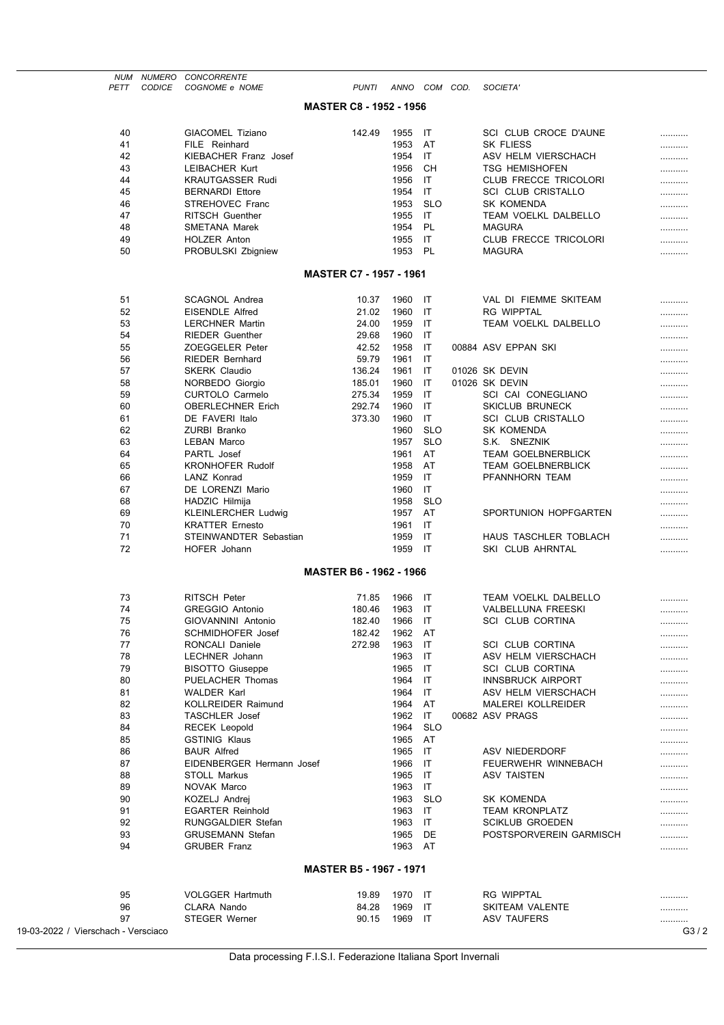| PETT                                | NUM NUMERO CONCORRENTE<br>CODICE<br>COGNOME e NOME | <b>PUNTI</b>                   |              | ANNO COM COD. | SOCIETA'                                        |      |
|-------------------------------------|----------------------------------------------------|--------------------------------|--------------|---------------|-------------------------------------------------|------|
|                                     |                                                    |                                |              |               |                                                 |      |
|                                     |                                                    | <b>MASTER C8 - 1952 - 1956</b> |              |               |                                                 |      |
| 40                                  | <b>GIACOMEL Tiziano</b>                            | 142.49                         | 1955         | IT            | SCI CLUB CROCE D'AUNE                           |      |
| 41                                  | FILE Reinhard                                      |                                | 1953         | AT            | <b>SK FLIESS</b>                                | <br> |
| 42                                  | <b>KIEBACHER Franz Josef</b>                       |                                | 1954         | IT            | ASV HELM VIERSCHACH                             |      |
| 43                                  | <b>LEIBACHER Kurt</b>                              |                                | 1956         | CН            | <b>TSG HEMISHOFEN</b>                           |      |
| 44                                  | <b>KRAUTGASSER Rudi</b>                            |                                | 1956         | IT            | CLUB FRECCE TRICOLORI                           |      |
| 45                                  | <b>BERNARDI Ettore</b>                             |                                | 1954         | IT            | <b>SCI CLUB CRISTALLO</b>                       |      |
| 46                                  | STREHOVEC Franc                                    |                                | 1953         | <b>SLO</b>    | SK KOMENDA                                      |      |
| 47                                  | <b>RITSCH Guenther</b>                             |                                | 1955         | IT            | TEAM VOELKL DALBELLO                            |      |
| 48                                  | <b>SMETANA Marek</b>                               |                                | 1954         | PL            | <b>MAGURA</b>                                   |      |
| 49<br>50                            | <b>HOLZER Anton</b><br>PROBULSKI Zbigniew          |                                | 1955<br>1953 | IT<br>PL      | <b>CLUB FRECCE TRICOLORI</b><br><b>MAGURA</b>   |      |
|                                     |                                                    |                                |              |               |                                                 |      |
|                                     |                                                    | <b>MASTER C7 - 1957 - 1961</b> |              |               |                                                 |      |
|                                     |                                                    |                                |              |               |                                                 |      |
| 51<br>52                            | <b>SCAGNOL Andrea</b><br><b>EISENDLE Alfred</b>    | 10.37<br>21.02                 | 1960<br>1960 | IT<br>IT      | VAL DI FIEMME SKITEAM<br><b>RG WIPPTAL</b>      |      |
| 53                                  | <b>LERCHNER Martin</b>                             | 24.00                          | 1959         | IT            | TEAM VOELKL DALBELLO                            |      |
| 54                                  | <b>RIEDER Guenther</b>                             | 29.68                          | 1960         | IT            |                                                 | <br> |
| 55                                  | ZOEGGELER Peter                                    | 42.52                          | 1958         | IT            | 00884 ASV EPPAN SKI                             |      |
| 56                                  | <b>RIEDER Bernhard</b>                             | 59.79                          | 1961         | IT            |                                                 |      |
| 57                                  | <b>SKERK Claudio</b>                               | 136.24                         | 1961         | IT            | 01026 SK DEVIN                                  |      |
| 58                                  | NORBEDO Giorgio                                    | 185.01                         | 1960         | IT            | 01026 SK DEVIN                                  |      |
| 59                                  | <b>CURTOLO Carmelo</b>                             | 275.34                         | 1959         | IT            | SCI CAI CONEGLIANO                              |      |
| 60                                  | <b>OBERLECHNER Erich</b>                           | 292.74                         | 1960         | IT            | <b>SKICLUB BRUNECK</b>                          |      |
| 61                                  | DE FAVERI Italo                                    | 373.30                         | 1960         | IT            | <b>SCI CLUB CRISTALLO</b>                       |      |
| 62                                  | ZURBI Branko                                       |                                | 1960         | <b>SLO</b>    | SK KOMENDA                                      |      |
| 63                                  | <b>LEBAN Marco</b>                                 |                                | 1957         | <b>SLO</b>    | S.K. SNEZNIK                                    |      |
| 64                                  | PARTL Josef                                        |                                | 1961         | AT            | <b>TEAM GOELBNERBLICK</b>                       |      |
| 65<br>66                            | <b>KRONHOFER Rudolf</b><br>LANZ Konrad             |                                | 1958         | AT<br>IT      | <b>TEAM GOELBNERBLICK</b>                       |      |
| 67                                  | DE LORENZI Mario                                   |                                | 1959<br>1960 | IT            | PFANNHORN TEAM                                  |      |
| 68                                  | HADZIC Hilmija                                     |                                | 1958         | <b>SLO</b>    |                                                 | <br> |
| 69                                  | <b>KLEINLERCHER Ludwig</b>                         |                                | 1957         | AT            | SPORTUNION HOPFGARTEN                           |      |
| 70                                  | <b>KRATTER Ernesto</b>                             |                                | 1961         | IT            |                                                 |      |
| 71                                  | STEINWANDTER Sebastian                             |                                | 1959         | IT            | HAUS TASCHLER TOBLACH                           |      |
| 72                                  | HOFER Johann                                       |                                | 1959         | -IT           | SKI CLUB AHRNTAL                                |      |
|                                     |                                                    | <b>MASTER B6 - 1962 - 1966</b> |              |               |                                                 |      |
|                                     |                                                    |                                |              |               |                                                 |      |
| 73                                  | <b>RITSCH Peter</b>                                | 71.85                          | 1966         | IT            | <b>TEAM VOELKL DALBELLO</b>                     |      |
| 74                                  | <b>GREGGIO Antonio</b>                             | 180.46                         | 1963         | IT            | <b>VALBELLUNA FREESKI</b>                       |      |
| 75                                  | GIOVANNINI Antonio                                 | 182.40                         | 1966         | IT            | SCI CLUB CORTINA                                |      |
| 76                                  | <b>SCHMIDHOFER Josef</b>                           | 182.42                         | 1962         | AT            |                                                 |      |
| 77                                  | RONCALI Daniele                                    | 272.98                         | 1963         | IT            | <b>SCI CLUB CORTINA</b>                         |      |
| 78                                  | <b>LECHNER Johann</b>                              |                                | 1963         | IT            | ASV HELM VIERSCHACH                             |      |
| 79                                  | <b>BISOTTO Giuseppe</b>                            |                                | 1965         | IT            | <b>SCI CLUB CORTINA</b>                         |      |
| 80<br>81                            | PUELACHER Thomas<br><b>WALDER Karl</b>             |                                | 1964<br>1964 | IT<br>IT      | <b>INNSBRUCK AIRPORT</b><br>ASV HELM VIERSCHACH |      |
| 82                                  | <b>KOLLREIDER Raimund</b>                          |                                | 1964         | AT            | <b>MALEREI KOLLREIDER</b>                       |      |
| 83                                  | <b>TASCHLER</b> Josef                              |                                | 1962         | IT            | 00682 ASV PRAGS                                 |      |
| 84                                  | <b>RECEK Leopold</b>                               |                                | 1964         | <b>SLO</b>    |                                                 | <br> |
| 85                                  | <b>GSTINIG Klaus</b>                               |                                | 1965         | AT            |                                                 |      |
| 86                                  | <b>BAUR Alfred</b>                                 |                                | 1965         | IT            | ASV NIEDERDORF                                  |      |
| 87                                  | EIDENBERGER Hermann Josef                          |                                | 1966         | IT            | FEUERWEHR WINNEBACH                             |      |
| 88                                  | <b>STOLL Markus</b>                                |                                | 1965         | IT            | ASV TAISTEN                                     |      |
| 89                                  | NOVAK Marco                                        |                                | 1963         | IT            |                                                 |      |
| 90                                  | KOZELJ Andrej                                      |                                | 1963         | <b>SLO</b>    | SK KOMENDA                                      |      |
| 91                                  | <b>EGARTER Reinhold</b>                            |                                | 1963         | IT            | <b>TEAM KRONPLATZ</b>                           |      |
| 92                                  | <b>RUNGGALDIER Stefan</b>                          |                                | 1963         | IT            | <b>SCIKLUB GROEDEN</b>                          |      |
| 93                                  | <b>GRUSEMANN Stefan</b>                            |                                | 1965         | DE            | POSTSPORVEREIN GARMISCH                         |      |
| 94                                  | <b>GRUBER Franz</b>                                |                                | 1963         | AT            |                                                 |      |
|                                     |                                                    | <b>MASTER B5 - 1967 - 1971</b> |              |               |                                                 |      |
|                                     |                                                    |                                |              |               |                                                 |      |
| 95<br>96                            | <b>VOLGGER Hartmuth</b><br>CLARA Nando             | 19.89<br>84.28                 | 1970<br>1969 | IT<br>IT      | <b>RG WIPPTAL</b><br><b>SKITEAM VALENTE</b>     | <br> |
| 97                                  | <b>STEGER Werner</b>                               | 90.15                          | 1969         | IT            | <b>ASV TAUFERS</b>                              |      |
| 19-03-2022 / Vierschach - Versciaco |                                                    |                                |              |               |                                                 | G3/2 |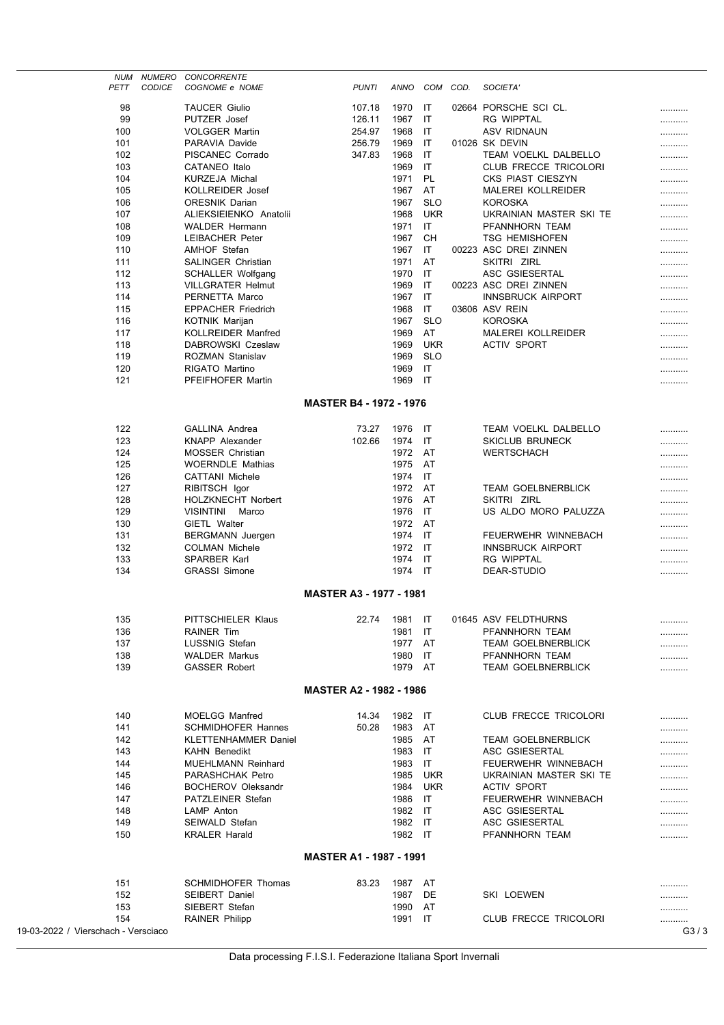| NUM                                 | NUMERO        | <b>CONCORRENTE</b>          |                                |              |             |            |      |                              |         |
|-------------------------------------|---------------|-----------------------------|--------------------------------|--------------|-------------|------------|------|------------------------------|---------|
| PETT                                | <b>CODICE</b> | COGNOME e NOME              |                                | <b>PUNTI</b> | <b>ANNO</b> | COM        | COD. | SOCIETA'                     |         |
| 98                                  |               | <b>TAUCER Giulio</b>        |                                | 107.18       | 1970        | IT         |      | 02664 PORSCHE SCI CL.        |         |
| 99                                  |               | PUTZER Josef                |                                | 126.11       | 1967        | IT         |      | <b>RG WIPPTAL</b>            |         |
| 100                                 |               | <b>VOLGGER Martin</b>       |                                | 254.97       | 1968        | IT         |      | <b>ASV RIDNAUN</b>           |         |
| 101                                 |               | PARAVIA Davide              |                                | 256.79       | 1969        | IT         |      | 01026 SK DEVIN               |         |
| 102                                 |               | PISCANEC Corrado            |                                | 347.83       | 1968        | IT         |      | <b>TEAM VOELKL DALBELLO</b>  |         |
| 103                                 |               | <b>CATANEO</b> Italo        |                                |              | 1969        | IT         |      | <b>CLUB FRECCE TRICOLORI</b> |         |
| 104                                 |               | <b>KURZEJA Michal</b>       |                                |              | 1971        | <b>PL</b>  |      | CKS PIAST CIESZYN            |         |
|                                     |               |                             |                                |              |             |            |      | <b>MALEREI KOLLREIDER</b>    |         |
| 105                                 |               | <b>KOLLREIDER Josef</b>     |                                |              | 1967        | AT         |      |                              |         |
| 106                                 |               | <b>ORESNIK Darian</b>       |                                |              | 1967        | <b>SLO</b> |      | <b>KOROSKA</b>               |         |
| 107                                 |               | ALIEKSIEIENKO Anatolii      |                                |              | 1968        | <b>UKR</b> |      | UKRAINIAN MASTER SKI TE      |         |
| 108                                 |               | <b>WALDER Hermann</b>       |                                |              | 1971        | IT.        |      | PFANNHORN TEAM               |         |
| 109                                 |               | <b>LEIBACHER Peter</b>      |                                |              | 1967        | CН         |      | <b>TSG HEMISHOFEN</b>        |         |
| 110                                 |               | <b>AMHOF Stefan</b>         |                                |              | 1967        | IT         |      | 00223 ASC DREI ZINNEN        |         |
| 111                                 |               | <b>SALINGER Christian</b>   |                                |              | 1971        | AT         |      | SKITRI ZIRL                  |         |
| 112                                 |               | SCHALLER Wolfgang           |                                |              | 1970        | IT         |      | ASC GSIESERTAL               |         |
| 113                                 |               | <b>VILLGRATER Helmut</b>    |                                |              | 1969        | IT         |      | 00223 ASC DREI ZINNEN        |         |
| 114                                 |               | PERNETTA Marco              |                                |              | 1967        | IT         |      | <b>INNSBRUCK AIRPORT</b>     |         |
| 115                                 |               | <b>EPPACHER Friedrich</b>   |                                |              | 1968        | IT         |      | 03606 ASV REIN               |         |
| 116                                 |               | <b>KOTNIK Marijan</b>       |                                |              | 1967        | <b>SLO</b> |      | <b>KOROSKA</b>               |         |
| 117                                 |               | <b>KOLLREIDER Manfred</b>   |                                |              | 1969        | AT         |      | <b>MALEREI KOLLREIDER</b>    |         |
| 118                                 |               | DABROWSKI Czeslaw           |                                |              | 1969        | <b>UKR</b> |      | <b>ACTIV SPORT</b>           |         |
| 119                                 |               | ROZMAN Stanislav            |                                |              | 1969        | <b>SLO</b> |      |                              |         |
| 120                                 |               | RIGATO Martino              |                                |              | 1969        | IT         |      |                              |         |
| 121                                 |               | PFEIFHOFER Martin           |                                |              | 1969        | IT         |      |                              |         |
|                                     |               |                             |                                |              |             |            |      |                              |         |
|                                     |               |                             | <b>MASTER B4 - 1972 - 1976</b> |              |             |            |      |                              |         |
|                                     |               |                             |                                |              |             |            |      |                              |         |
| 122                                 |               | <b>GALLINA Andrea</b>       |                                | 73.27        | 1976        | IT         |      | TEAM VOELKL DALBELLO         |         |
| 123                                 |               | <b>KNAPP Alexander</b>      |                                | 102.66       | 1974        | IT         |      | <b>SKICLUB BRUNECK</b>       | .       |
| 124                                 |               | <b>MOSSER Christian</b>     |                                |              | 1972        | AT         |      | <b>WERTSCHACH</b>            |         |
| 125                                 |               | <b>WOERNDLE Mathias</b>     |                                |              | 1975        | AT         |      |                              |         |
| 126                                 |               | <b>CATTANI Michele</b>      |                                |              | 1974        | IT         |      |                              |         |
| 127                                 |               | RIBITSCH Igor               |                                |              | 1972        | AT         |      | <b>TEAM GOELBNERBLICK</b>    |         |
| 128                                 |               | <b>HOLZKNECHT Norbert</b>   |                                |              | 1976        | AT         |      | SKITRI ZIRL                  |         |
| 129                                 |               | VISINTINI Marco             |                                |              | 1976        | IT         |      | US ALDO MORO PALUZZA         |         |
| 130                                 |               | GIETL Walter                |                                |              | 1972        | AT         |      |                              |         |
| 131                                 |               | BERGMANN Juergen            |                                |              | 1974        | IT         |      | FEUERWEHR WINNEBACH          |         |
| 132                                 |               | <b>COLMAN Michele</b>       |                                |              | 1972        | IT         |      | <b>INNSBRUCK AIRPORT</b>     |         |
| 133                                 |               | SPARBER Karl                |                                |              | 1974        | IT         |      | <b>RG WIPPTAL</b>            |         |
| 134                                 |               | <b>GRASSI Simone</b>        |                                |              | 1974        | IT         |      | DEAR-STUDIO                  |         |
|                                     |               |                             |                                |              |             |            |      |                              |         |
| <b>MASTER A3 - 1977 - 1981</b>      |               |                             |                                |              |             |            |      |                              |         |
|                                     |               |                             |                                |              |             |            |      |                              |         |
| 135                                 |               | PITTSCHIELER Klaus          |                                | 22.74        | 1981        | - IT       |      | 01645 ASV FELDTHURNS         | .       |
| 136                                 |               | <b>RAINER Tim</b>           |                                |              | 1981        | IT         |      | PFANNHORN TEAM               |         |
| 137                                 |               | LUSSNIG Stefan              |                                |              | 1977        | AT         |      | <b>TEAM GOELBNERBLICK</b>    |         |
| 138                                 |               | <b>WALDER Markus</b>        |                                |              | 1980        | IT         |      | PFANNHORN TEAM               |         |
| 139                                 |               | <b>GASSER Robert</b>        |                                |              | 1979 AT     |            |      | <b>TEAM GOELBNERBLICK</b>    |         |
|                                     |               |                             |                                |              |             |            |      |                              |         |
|                                     |               |                             | <b>MASTER A2 - 1982 - 1986</b> |              |             |            |      |                              |         |
|                                     |               |                             |                                |              |             |            |      |                              |         |
| 140                                 |               | <b>MOELGG Manfred</b>       |                                | 14.34        | 1982 IT     |            |      | <b>CLUB FRECCE TRICOLORI</b> | .       |
| 141                                 |               | <b>SCHMIDHOFER Hannes</b>   |                                | 50.28        | 1983        | AT         |      |                              |         |
| 142                                 |               | <b>KLETTENHAMMER Daniel</b> |                                |              | 1985        | AT         |      | <b>TEAM GOELBNERBLICK</b>    |         |
| 143                                 |               | <b>KAHN Benedikt</b>        |                                |              | 1983        | IT         |      | ASC GSIESERTAL               |         |
| 144                                 |               | <b>MUEHLMANN Reinhard</b>   |                                |              | 1983        | IT         |      | FEUERWEHR WINNEBACH          |         |
| 145                                 |               | <b>PARASHCHAK Petro</b>     |                                |              | 1985        | <b>UKR</b> |      | UKRAINIAN MASTER SKI TE      |         |
|                                     |               | <b>BOCHEROV Oleksandr</b>   |                                |              |             | <b>UKR</b> |      | <b>ACTIV SPORT</b>           |         |
| 146                                 |               | PATZLEINER Stefan           |                                |              | 1984        |            |      |                              |         |
| 147                                 |               |                             |                                |              | 1986        | IT         |      | FEUERWEHR WINNEBACH          |         |
| 148                                 |               | LAMP Anton                  |                                |              | 1982        | -IT        |      | ASC GSIESERTAL               |         |
| 149                                 |               | SEIWALD Stefan              |                                |              | 1982        | -IT        |      | ASC GSIESERTAL               |         |
| 150                                 |               | <b>KRALER Harald</b>        |                                |              | 1982 IT     |            |      | PFANNHORN TEAM               |         |
|                                     |               |                             | <b>MASTER A1 - 1987 - 1991</b> |              |             |            |      |                              |         |
|                                     |               |                             |                                |              |             |            |      |                              |         |
| 151                                 |               | <b>SCHMIDHOFER Thomas</b>   |                                | 83.23        | 1987 AT     |            |      |                              |         |
| 152                                 |               | <b>SEIBERT Daniel</b>       |                                |              | 1987        | DE         |      | SKI LOEWEN                   |         |
| 153                                 |               | SIEBERT Stefan              |                                |              | 1990        | AT         |      |                              |         |
| 154                                 |               | <b>RAINER Philipp</b>       |                                |              | 1991        | IT         |      | CLUB FRECCE TRICOLORI        |         |
| 19-03-2022 / Vierschach - Versciaco |               |                             |                                |              |             |            |      |                              | G $3/3$ |